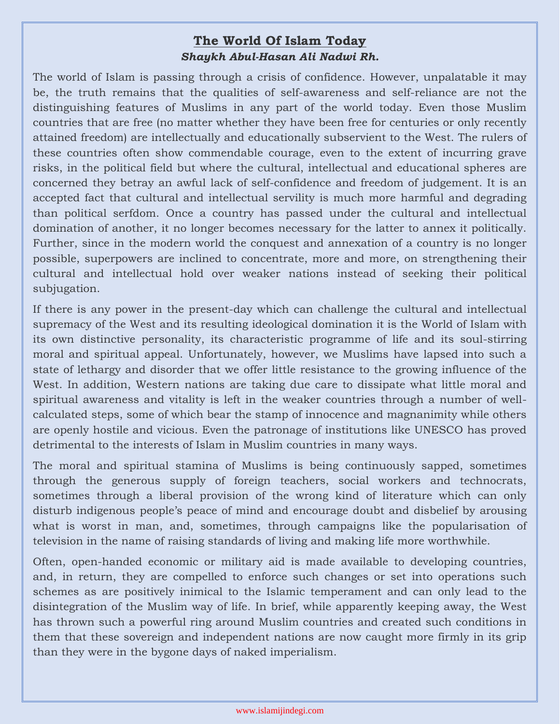## **The World Of Islam Today** *Shaykh Abul-Hasan Ali Nadwi Rh.*

The world of Islam is passing through a crisis of confidence. However, unpalatable it may be, the truth remains that the qualities of self-awareness and self-reliance are not the distinguishing features of Muslims in any part of the world today. Even those Muslim countries that are free (no matter whether they have been free for centuries or only recently attained freedom) are intellectually and educationally subservient to the West. The rulers of these countries often show commendable courage, even to the extent of incurring grave risks, in the political field but where the cultural, intellectual and educational spheres are concerned they betray an awful lack of self-confidence and freedom of judgement. It is an accepted fact that cultural and intellectual servility is much more harmful and degrading than political serfdom. Once a country has passed under the cultural and intellectual domination of another, it no longer becomes necessary for the latter to annex it politically. Further, since in the modern world the conquest and annexation of a country is no longer possible, superpowers are inclined to concentrate, more and more, on strengthening their cultural and intellectual hold over weaker nations instead of seeking their political subjugation.

If there is any power in the present-day which can challenge the cultural and intellectual supremacy of the West and its resulting ideological domination it is the World of Islam with its own distinctive personality, its characteristic programme of life and its soul-stirring moral and spiritual appeal. Unfortunately, however, we Muslims have lapsed into such a state of lethargy and disorder that we offer little resistance to the growing influence of the West. In addition, Western nations are taking due care to dissipate what little moral and spiritual awareness and vitality is left in the weaker countries through a number of wellcalculated steps, some of which bear the stamp of innocence and magnanimity while others are openly hostile and vicious. Even the patronage of institutions like UNESCO has proved detrimental to the interests of Islam in Muslim countries in many ways.

The moral and spiritual stamina of Muslims is being continuously sapped, sometimes through the generous supply of foreign teachers, social workers and technocrats, sometimes through a liberal provision of the wrong kind of literature which can only disturb indigenous people's peace of mind and encourage doubt and disbelief by arousing what is worst in man, and, sometimes, through campaigns like the popularisation of television in the name of raising standards of living and making life more worthwhile.

Often, open-handed economic or military aid is made available to developing countries, and, in return, they are compelled to enforce such changes or set into operations such schemes as are positively inimical to the Islamic temperament and can only lead to the disintegration of the Muslim way of life. In brief, while apparently keeping away, the West has thrown such a powerful ring around Muslim countries and created such conditions in them that these sovereign and independent nations are now caught more firmly in its grip than they were in the bygone days of naked imperialism.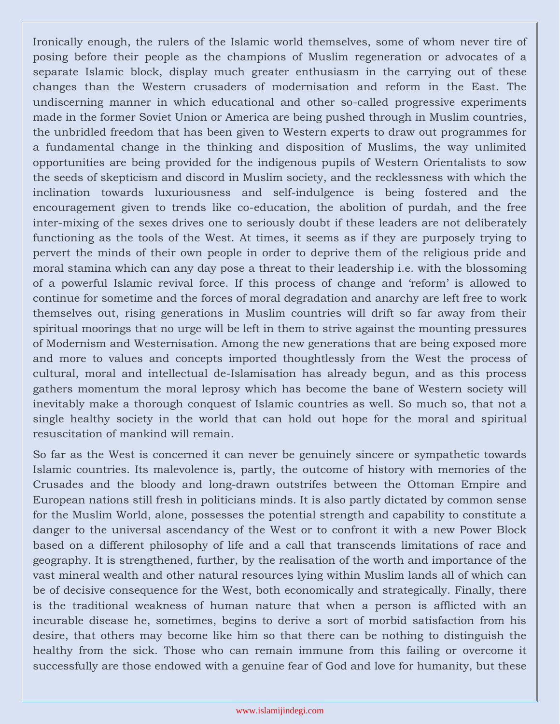Ironically enough, the rulers of the Islamic world themselves, some of whom never tire of posing before their people as the champions of Muslim regeneration or advocates of a separate Islamic block, display much greater enthusiasm in the carrying out of these changes than the Western crusaders of modernisation and reform in the East. The undiscerning manner in which educational and other so-called progressive experiments made in the former Soviet Union or America are being pushed through in Muslim countries, the unbridled freedom that has been given to Western experts to draw out programmes for a fundamental change in the thinking and disposition of Muslims, the way unlimited opportunities are being provided for the indigenous pupils of Western Orientalists to sow the seeds of skepticism and discord in Muslim society, and the recklessness with which the inclination towards luxuriousness and self-indulgence is being fostered and the encouragement given to trends like co-education, the abolition of purdah, and the free inter-mixing of the sexes drives one to seriously doubt if these leaders are not deliberately functioning as the tools of the West. At times, it seems as if they are purposely trying to pervert the minds of their own people in order to deprive them of the religious pride and moral stamina which can any day pose a threat to their leadership i.e. with the blossoming of a powerful Islamic revival force. If this process of change and 'reform' is allowed to continue for sometime and the forces of moral degradation and anarchy are left free to work themselves out, rising generations in Muslim countries will drift so far away from their spiritual moorings that no urge will be left in them to strive against the mounting pressures of Modernism and Westernisation. Among the new generations that are being exposed more and more to values and concepts imported thoughtlessly from the West the process of cultural, moral and intellectual de-Islamisation has already begun, and as this process gathers momentum the moral leprosy which has become the bane of Western society will inevitably make a thorough conquest of Islamic countries as well. So much so, that not a single healthy society in the world that can hold out hope for the moral and spiritual resuscitation of mankind will remain.

So far as the West is concerned it can never be genuinely sincere or sympathetic towards Islamic countries. Its malevolence is, partly, the outcome of history with memories of the Crusades and the bloody and long-drawn outstrifes between the Ottoman Empire and European nations still fresh in politicians minds. It is also partly dictated by common sense for the Muslim World, alone, possesses the potential strength and capability to constitute a danger to the universal ascendancy of the West or to confront it with a new Power Block based on a different philosophy of life and a call that transcends limitations of race and geography. It is strengthened, further, by the realisation of the worth and importance of the vast mineral wealth and other natural resources lying within Muslim lands all of which can be of decisive consequence for the West, both economically and strategically. Finally, there is the traditional weakness of human nature that when a person is afflicted with an incurable disease he, sometimes, begins to derive a sort of morbid satisfaction from his desire, that others may become like him so that there can be nothing to distinguish the healthy from the sick. Those who can remain immune from this failing or overcome it successfully are those endowed with a genuine fear of God and love for humanity, but these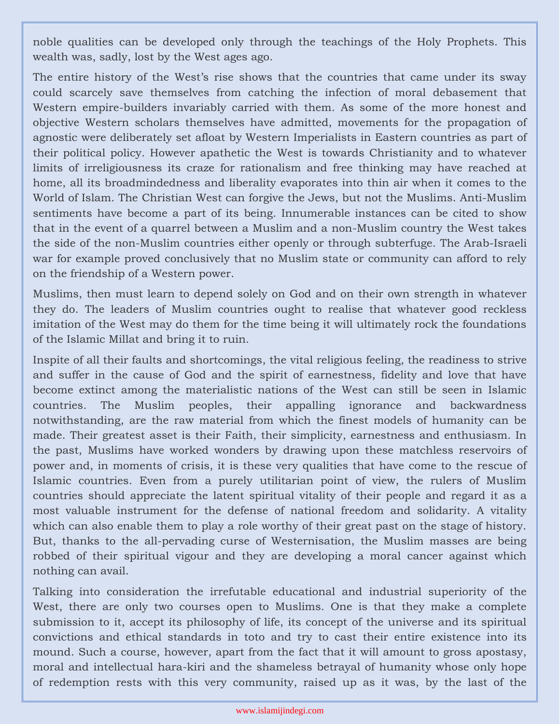noble qualities can be developed only through the teachings of the Holy Prophets. This wealth was, sadly, lost by the West ages ago.

The entire history of the West's rise shows that the countries that came under its sway could scarcely save themselves from catching the infection of moral debasement that Western empire-builders invariably carried with them. As some of the more honest and objective Western scholars themselves have admitted, movements for the propagation of agnostic were deliberately set afloat by Western Imperialists in Eastern countries as part of their political policy. However apathetic the West is towards Christianity and to whatever limits of irreligiousness its craze for rationalism and free thinking may have reached at home, all its broadmindedness and liberality evaporates into thin air when it comes to the World of Islam. The Christian West can forgive the Jews, but not the Muslims. Anti-Muslim sentiments have become a part of its being. Innumerable instances can be cited to show that in the event of a quarrel between a Muslim and a non-Muslim country the West takes the side of the non-Muslim countries either openly or through subterfuge. The Arab-Israeli war for example proved conclusively that no Muslim state or community can afford to rely on the friendship of a Western power.

Muslims, then must learn to depend solely on God and on their own strength in whatever they do. The leaders of Muslim countries ought to realise that whatever good reckless imitation of the West may do them for the time being it will ultimately rock the foundations of the Islamic Millat and bring it to ruin.

Inspite of all their faults and shortcomings, the vital religious feeling, the readiness to strive and suffer in the cause of God and the spirit of earnestness, fidelity and love that have become extinct among the materialistic nations of the West can still be seen in Islamic countries. The Muslim peoples, their appalling ignorance and backwardness notwithstanding, are the raw material from which the finest models of humanity can be made. Their greatest asset is their Faith, their simplicity, earnestness and enthusiasm. In the past, Muslims have worked wonders by drawing upon these matchless reservoirs of power and, in moments of crisis, it is these very qualities that have come to the rescue of Islamic countries. Even from a purely utilitarian point of view, the rulers of Muslim countries should appreciate the latent spiritual vitality of their people and regard it as a most valuable instrument for the defense of national freedom and solidarity. A vitality which can also enable them to play a role worthy of their great past on the stage of history. But, thanks to the all-pervading curse of Westernisation, the Muslim masses are being robbed of their spiritual vigour and they are developing a moral cancer against which nothing can avail.

Talking into consideration the irrefutable educational and industrial superiority of the West, there are only two courses open to Muslims. One is that they make a complete submission to it, accept its philosophy of life, its concept of the universe and its spiritual convictions and ethical standards in toto and try to cast their entire existence into its mound. Such a course, however, apart from the fact that it will amount to gross apostasy, moral and intellectual hara-kiri and the shameless betrayal of humanity whose only hope of redemption rests with this very community, raised up as it was, by the last of the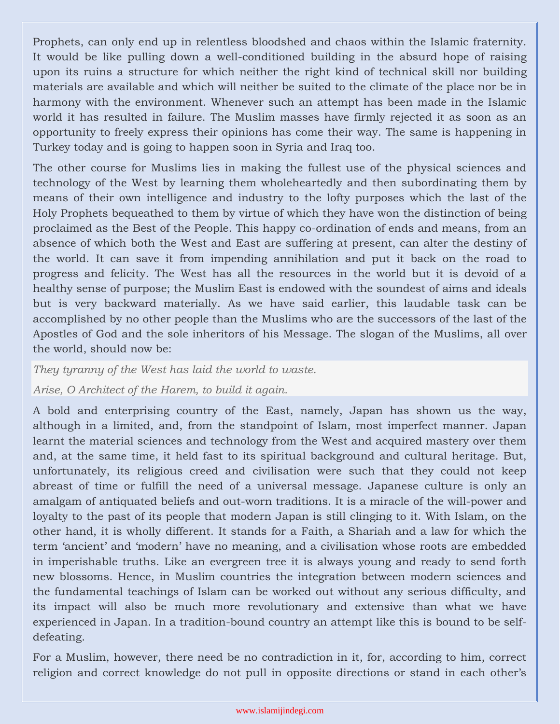Prophets, can only end up in relentless bloodshed and chaos within the Islamic fraternity. It would be like pulling down a well-conditioned building in the absurd hope of raising upon its ruins a structure for which neither the right kind of technical skill nor building materials are available and which will neither be suited to the climate of the place nor be in harmony with the environment. Whenever such an attempt has been made in the Islamic world it has resulted in failure. The Muslim masses have firmly rejected it as soon as an opportunity to freely express their opinions has come their way. The same is happening in Turkey today and is going to happen soon in Syria and Iraq too.

The other course for Muslims lies in making the fullest use of the physical sciences and technology of the West by learning them wholeheartedly and then subordinating them by means of their own intelligence and industry to the lofty purposes which the last of the Holy Prophets bequeathed to them by virtue of which they have won the distinction of being proclaimed as the Best of the People. This happy co-ordination of ends and means, from an absence of which both the West and East are suffering at present, can alter the destiny of the world. It can save it from impending annihilation and put it back on the road to progress and felicity. The West has all the resources in the world but it is devoid of a healthy sense of purpose; the Muslim East is endowed with the soundest of aims and ideals but is very backward materially. As we have said earlier, this laudable task can be accomplished by no other people than the Muslims who are the successors of the last of the Apostles of God and the sole inheritors of his Message. The slogan of the Muslims, all over the world, should now be:

*They tyranny of the West has laid the world to waste.*

## *Arise, O Architect of the Harem, to build it again.*

A bold and enterprising country of the East, namely, Japan has shown us the way, although in a limited, and, from the standpoint of Islam, most imperfect manner. Japan learnt the material sciences and technology from the West and acquired mastery over them and, at the same time, it held fast to its spiritual background and cultural heritage. But, unfortunately, its religious creed and civilisation were such that they could not keep abreast of time or fulfill the need of a universal message. Japanese culture is only an amalgam of antiquated beliefs and out-worn traditions. It is a miracle of the will-power and loyalty to the past of its people that modern Japan is still clinging to it. With Islam, on the other hand, it is wholly different. It stands for a Faith, a Shariah and a law for which the term 'ancient' and 'modern' have no meaning, and a civilisation whose roots are embedded in imperishable truths. Like an evergreen tree it is always young and ready to send forth new blossoms. Hence, in Muslim countries the integration between modern sciences and the fundamental teachings of Islam can be worked out without any serious difficulty, and its impact will also be much more revolutionary and extensive than what we have experienced in Japan. In a tradition-bound country an attempt like this is bound to be selfdefeating.

For a Muslim, however, there need be no contradiction in it, for, according to him, correct religion and correct knowledge do not pull in opposite directions or stand in each other's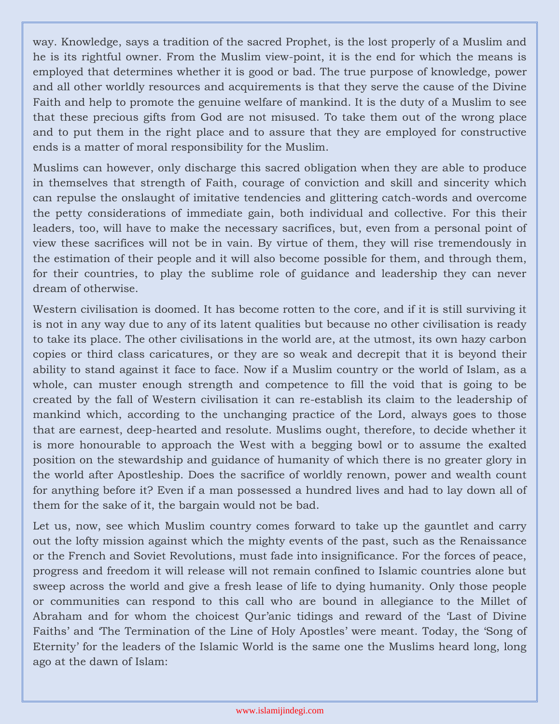way. Knowledge, says a tradition of the sacred Prophet, is the lost properly of a Muslim and he is its rightful owner. From the Muslim view-point, it is the end for which the means is employed that determines whether it is good or bad. The true purpose of knowledge, power and all other worldly resources and acquirements is that they serve the cause of the Divine Faith and help to promote the genuine welfare of mankind. It is the duty of a Muslim to see that these precious gifts from God are not misused. To take them out of the wrong place and to put them in the right place and to assure that they are employed for constructive ends is a matter of moral responsibility for the Muslim.

Muslims can however, only discharge this sacred obligation when they are able to produce in themselves that strength of Faith, courage of conviction and skill and sincerity which can repulse the onslaught of imitative tendencies and glittering catch-words and overcome the petty considerations of immediate gain, both individual and collective. For this their leaders, too, will have to make the necessary sacrifices, but, even from a personal point of view these sacrifices will not be in vain. By virtue of them, they will rise tremendously in the estimation of their people and it will also become possible for them, and through them, for their countries, to play the sublime role of guidance and leadership they can never dream of otherwise.

Western civilisation is doomed. It has become rotten to the core, and if it is still surviving it is not in any way due to any of its latent qualities but because no other civilisation is ready to take its place. The other civilisations in the world are, at the utmost, its own hazy carbon copies or third class caricatures, or they are so weak and decrepit that it is beyond their ability to stand against it face to face. Now if a Muslim country or the world of Islam, as a whole, can muster enough strength and competence to fill the void that is going to be created by the fall of Western civilisation it can re-establish its claim to the leadership of mankind which, according to the unchanging practice of the Lord, always goes to those that are earnest, deep-hearted and resolute. Muslims ought, therefore, to decide whether it is more honourable to approach the West with a begging bowl or to assume the exalted position on the stewardship and guidance of humanity of which there is no greater glory in the world after Apostleship. Does the sacrifice of worldly renown, power and wealth count for anything before it? Even if a man possessed a hundred lives and had to lay down all of them for the sake of it, the bargain would not be bad.

Let us, now, see which Muslim country comes forward to take up the gauntlet and carry out the lofty mission against which the mighty events of the past, such as the Renaissance or the French and Soviet Revolutions, must fade into insignificance. For the forces of peace, progress and freedom it will release will not remain confined to Islamic countries alone but sweep across the world and give a fresh lease of life to dying humanity. Only those people or communities can respond to this call who are bound in allegiance to the Millet of Abraham and for whom the choicest Qur'anic tidings and reward of the 'Last of Divine Faiths' and 'The Termination of the Line of Holy Apostles' were meant. Today, the 'Song of Eternity' for the leaders of the Islamic World is the same one the Muslims heard long, long ago at the dawn of Islam: